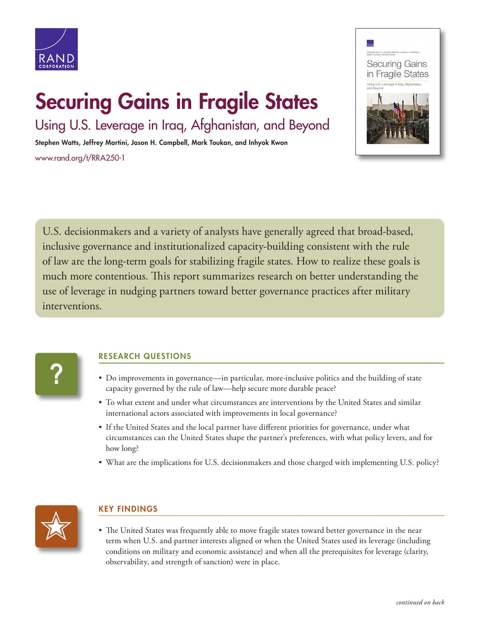

## Securing Gains in Fragile States

Using U.S. Leverage in Iraq, Afghanistan, and Beyond

Stephen Watts, Jeffrey Martini, Jason H. Campbell, Mark Toukan, and Inhyok Kwon [www.rand.org/t/RRA250-1](http://www.rand.org/t/RRA250-1)



U.S. decisionmakers and a variety of analysts have generally agreed that broad-based, inclusive governance and institutionalized capacity-building consistent with the rule of law are the long-term goals for stabilizing fragile states. How to realize these goals is much more contentious. This report summarizes research on better understanding the use of leverage in nudging partners toward better governance practices after military interventions.

# **?**

#### RESEARCH QUESTIONS

- Do improvements in governance—in particular, more-inclusive politics and the building of state capacity governed by the rule of law—help secure more durable peace?
- To what extent and under what circumstances are interventions by the United States and similar international actors associated with improvements in local governance?
- If the United States and the local partner have different priorities for governance, under what circumstances can the United States shape the partner's preferences, with what policy levers, and for how long?
- What are the implications for U.S. decisionmakers and those charged with implementing U.S. policy?



### KEY FINDINGS

• The United States was frequently able to move fragile states toward better governance in the near term when U.S. and partner interests aligned or when the United States used its leverage (including conditions on military and economic assistance) and when all the prerequisites for leverage (clarity, observability, and strength of sanction) were in place.